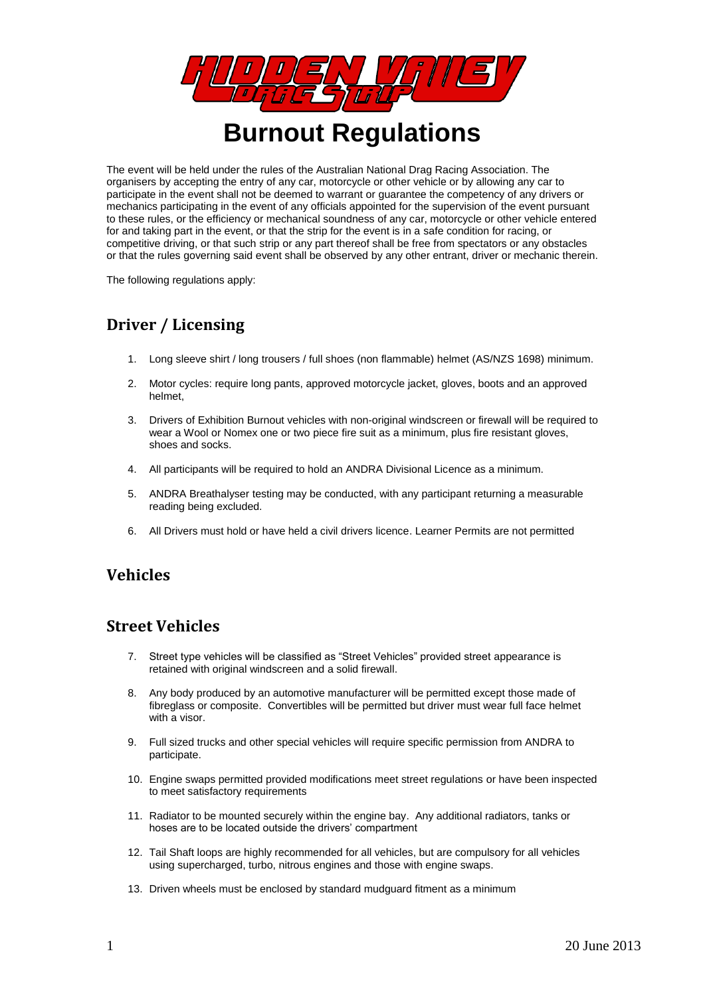

The event will be held under the rules of the Australian National Drag Racing Association. The organisers by accepting the entry of any car, motorcycle or other vehicle or by allowing any car to participate in the event shall not be deemed to warrant or guarantee the competency of any drivers or mechanics participating in the event of any officials appointed for the supervision of the event pursuant to these rules, or the efficiency or mechanical soundness of any car, motorcycle or other vehicle entered for and taking part in the event, or that the strip for the event is in a safe condition for racing, or competitive driving, or that such strip or any part thereof shall be free from spectators or any obstacles or that the rules governing said event shall be observed by any other entrant, driver or mechanic therein.

The following regulations apply:

# **Driver / Licensing**

- 1. Long sleeve shirt / long trousers / full shoes (non flammable) helmet (AS/NZS 1698) minimum.
- 2. Motor cycles: require long pants, approved motorcycle jacket, gloves, boots and an approved helmet,
- 3. Drivers of Exhibition Burnout vehicles with non-original windscreen or firewall will be required to wear a Wool or Nomex one or two piece fire suit as a minimum, plus fire resistant gloves, shoes and socks.
- 4. All participants will be required to hold an ANDRA Divisional Licence as a minimum.
- 5. ANDRA Breathalyser testing may be conducted, with any participant returning a measurable reading being excluded.
- 6. All Drivers must hold or have held a civil drivers licence. Learner Permits are not permitted

# **Vehicles**

#### **Street Vehicles**

- 7. Street type vehicles will be classified as "Street Vehicles" provided street appearance is retained with original windscreen and a solid firewall.
- 8. Any body produced by an automotive manufacturer will be permitted except those made of fibreglass or composite. Convertibles will be permitted but driver must wear full face helmet with a visor.
- 9. Full sized trucks and other special vehicles will require specific permission from ANDRA to participate.
- 10. Engine swaps permitted provided modifications meet street regulations or have been inspected to meet satisfactory requirements
- 11. Radiator to be mounted securely within the engine bay. Any additional radiators, tanks or hoses are to be located outside the drivers' compartment
- 12. Tail Shaft loops are highly recommended for all vehicles, but are compulsory for all vehicles using supercharged, turbo, nitrous engines and those with engine swaps.
- 13. Driven wheels must be enclosed by standard mudguard fitment as a minimum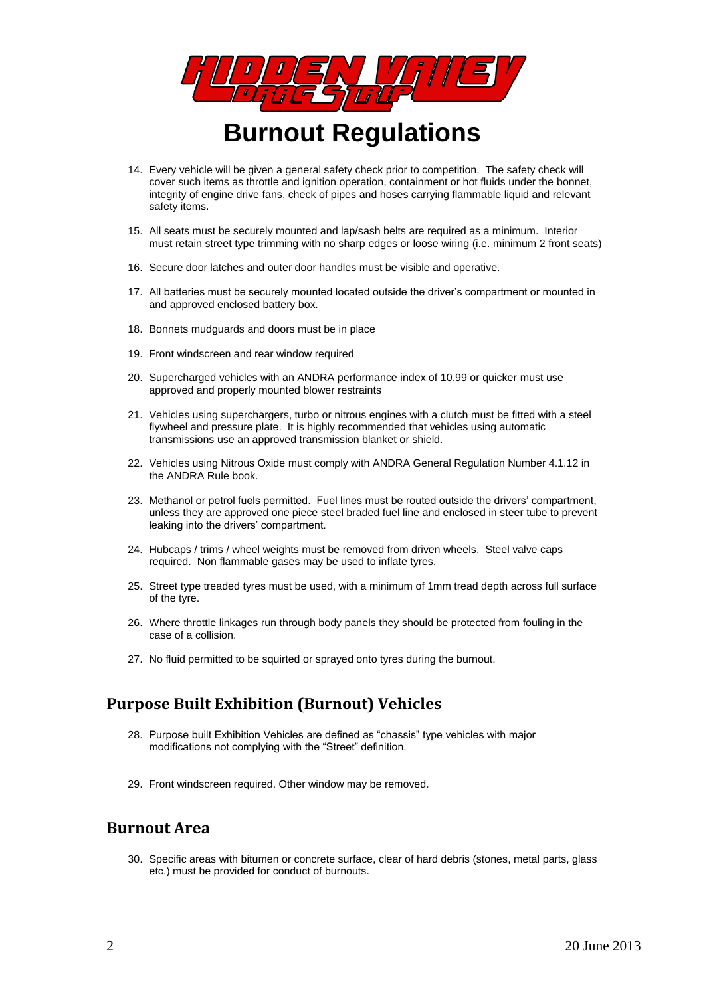

- 14. Every vehicle will be given a general safety check prior to competition. The safety check will cover such items as throttle and ignition operation, containment or hot fluids under the bonnet, integrity of engine drive fans, check of pipes and hoses carrying flammable liquid and relevant safety items.
- 15. All seats must be securely mounted and lap/sash belts are required as a minimum. Interior must retain street type trimming with no sharp edges or loose wiring (i.e. minimum 2 front seats)
- 16. Secure door latches and outer door handles must be visible and operative.
- 17. All batteries must be securely mounted located outside the driver's compartment or mounted in and approved enclosed battery box.
- 18. Bonnets mudguards and doors must be in place
- 19. Front windscreen and rear window required
- 20. Supercharged vehicles with an ANDRA performance index of 10.99 or quicker must use approved and properly mounted blower restraints
- 21. Vehicles using superchargers, turbo or nitrous engines with a clutch must be fitted with a steel flywheel and pressure plate. It is highly recommended that vehicles using automatic transmissions use an approved transmission blanket or shield.
- 22. Vehicles using Nitrous Oxide must comply with ANDRA General Regulation Number 4.1.12 in the ANDRA Rule book.
- 23. Methanol or petrol fuels permitted. Fuel lines must be routed outside the drivers' compartment, unless they are approved one piece steel braded fuel line and enclosed in steer tube to prevent leaking into the drivers' compartment.
- 24. Hubcaps / trims / wheel weights must be removed from driven wheels. Steel valve caps required. Non flammable gases may be used to inflate tyres.
- 25. Street type treaded tyres must be used, with a minimum of 1mm tread depth across full surface of the tyre.
- 26. Where throttle linkages run through body panels they should be protected from fouling in the case of a collision.
- 27. No fluid permitted to be squirted or sprayed onto tyres during the burnout.

# **Purpose Built Exhibition (Burnout) Vehicles**

- 28. Purpose built Exhibition Vehicles are defined as "chassis" type vehicles with major modifications not complying with the "Street" definition.
- 29. Front windscreen required. Other window may be removed.

#### **Burnout Area**

30. Specific areas with bitumen or concrete surface, clear of hard debris (stones, metal parts, glass etc.) must be provided for conduct of burnouts.